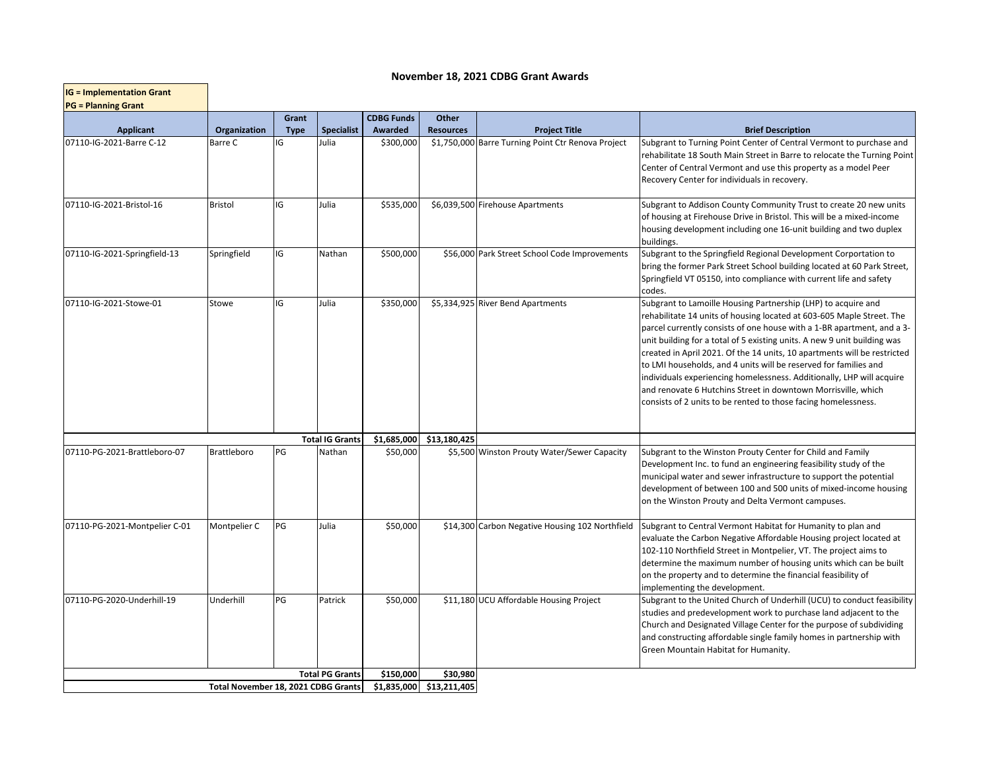## **November 18, 2021 CDBG Grant Awards**

| <b>IG = Implementation Grant</b><br><b>PG = Planning Grant</b> |                                     |                      |                        |                              |                           |                                                    |                                                                                                                                                                                                                                                                                                                                                                                                                                                                                                                                                                                                                                                          |  |  |  |  |
|----------------------------------------------------------------|-------------------------------------|----------------------|------------------------|------------------------------|---------------------------|----------------------------------------------------|----------------------------------------------------------------------------------------------------------------------------------------------------------------------------------------------------------------------------------------------------------------------------------------------------------------------------------------------------------------------------------------------------------------------------------------------------------------------------------------------------------------------------------------------------------------------------------------------------------------------------------------------------------|--|--|--|--|
| <b>Applicant</b>                                               | Organization                        | Grant<br><b>Type</b> | <b>Specialist</b>      | <b>CDBG Funds</b><br>Awarded | Other<br><b>Resources</b> | <b>Project Title</b>                               | <b>Brief Description</b>                                                                                                                                                                                                                                                                                                                                                                                                                                                                                                                                                                                                                                 |  |  |  |  |
| 07110-IG-2021-Barre C-12                                       | Barre C                             | IG                   | Julia                  | \$300,000                    |                           | \$1,750,000 Barre Turning Point Ctr Renova Project | Subgrant to Turning Point Center of Central Vermont to purchase and<br>rehabilitate 18 South Main Street in Barre to relocate the Turning Point<br>Center of Central Vermont and use this property as a model Peer<br>Recovery Center for individuals in recovery.                                                                                                                                                                                                                                                                                                                                                                                       |  |  |  |  |
| 07110-IG-2021-Bristol-16                                       | Bristol                             | IG                   | Julia                  | \$535,000                    |                           | \$6,039,500 Firehouse Apartments                   | Subgrant to Addison County Community Trust to create 20 new units<br>of housing at Firehouse Drive in Bristol. This will be a mixed-income<br>housing development including one 16-unit building and two duplex<br>buildings.                                                                                                                                                                                                                                                                                                                                                                                                                            |  |  |  |  |
| 07110-IG-2021-Springfield-13                                   | Springfield                         | IG                   | Nathan                 | \$500,000                    |                           | \$56,000 Park Street School Code Improvements      | Subgrant to the Springfield Regional Development Corportation to<br>bring the former Park Street School building located at 60 Park Street,<br>Springfield VT 05150, into compliance with current life and safety<br>codes.                                                                                                                                                                                                                                                                                                                                                                                                                              |  |  |  |  |
| 07110-IG-2021-Stowe-01                                         | Stowe                               | IG                   | Julia                  | \$350,000                    |                           | \$5,334,925 River Bend Apartments                  | Subgrant to Lamoille Housing Partnership (LHP) to acquire and<br>rehabilitate 14 units of housing located at 603-605 Maple Street. The<br>parcel currently consists of one house with a 1-BR apartment, and a 3-<br>unit building for a total of 5 existing units. A new 9 unit building was<br>created in April 2021. Of the 14 units, 10 apartments will be restricted<br>to LMI households, and 4 units will be reserved for families and<br>individuals experiencing homelessness. Additionally, LHP will acquire<br>and renovate 6 Hutchins Street in downtown Morrisville, which<br>consists of 2 units to be rented to those facing homelessness. |  |  |  |  |
|                                                                |                                     |                      | <b>Total IG Grants</b> | \$1,685,000                  | \$13,180,425              |                                                    |                                                                                                                                                                                                                                                                                                                                                                                                                                                                                                                                                                                                                                                          |  |  |  |  |
| 07110-PG-2021-Brattleboro-07                                   | <b>Brattleboro</b>                  | PG                   | Nathan                 | \$50,000                     |                           | \$5,500 Winston Prouty Water/Sewer Capacity        | Subgrant to the Winston Prouty Center for Child and Family<br>Development Inc. to fund an engineering feasibility study of the<br>municipal water and sewer infrastructure to support the potential<br>development of between 100 and 500 units of mixed-income housing<br>on the Winston Prouty and Delta Vermont campuses.                                                                                                                                                                                                                                                                                                                             |  |  |  |  |
| 07110-PG-2021-Montpelier C-01                                  | Montpelier C                        | PG                   | Julia                  | \$50,000                     |                           | \$14,300 Carbon Negative Housing 102 Northfield    | Subgrant to Central Vermont Habitat for Humanity to plan and<br>evaluate the Carbon Negative Affordable Housing project located at<br>102-110 Northfield Street in Montpelier, VT. The project aims to<br>determine the maximum number of housing units which can be built<br>on the property and to determine the financial feasibility of<br>implementing the development.                                                                                                                                                                                                                                                                             |  |  |  |  |
| 07110-PG-2020-Underhill-19                                     | Underhill                           | PG                   | Patrick                | \$50,000                     |                           | \$11,180 UCU Affordable Housing Project            | Subgrant to the United Church of Underhill (UCU) to conduct feasibility<br>studies and predevelopment work to purchase land adjacent to the<br>Church and Designated Village Center for the purpose of subdividing<br>and constructing affordable single family homes in partnership with<br>Green Mountain Habitat for Humanity.                                                                                                                                                                                                                                                                                                                        |  |  |  |  |
|                                                                |                                     |                      | <b>Total PG Grants</b> | \$150,000                    | \$30,980                  |                                                    |                                                                                                                                                                                                                                                                                                                                                                                                                                                                                                                                                                                                                                                          |  |  |  |  |
|                                                                | Total November 18, 2021 CDBG Grants |                      |                        |                              |                           | \$13,211,405                                       |                                                                                                                                                                                                                                                                                                                                                                                                                                                                                                                                                                                                                                                          |  |  |  |  |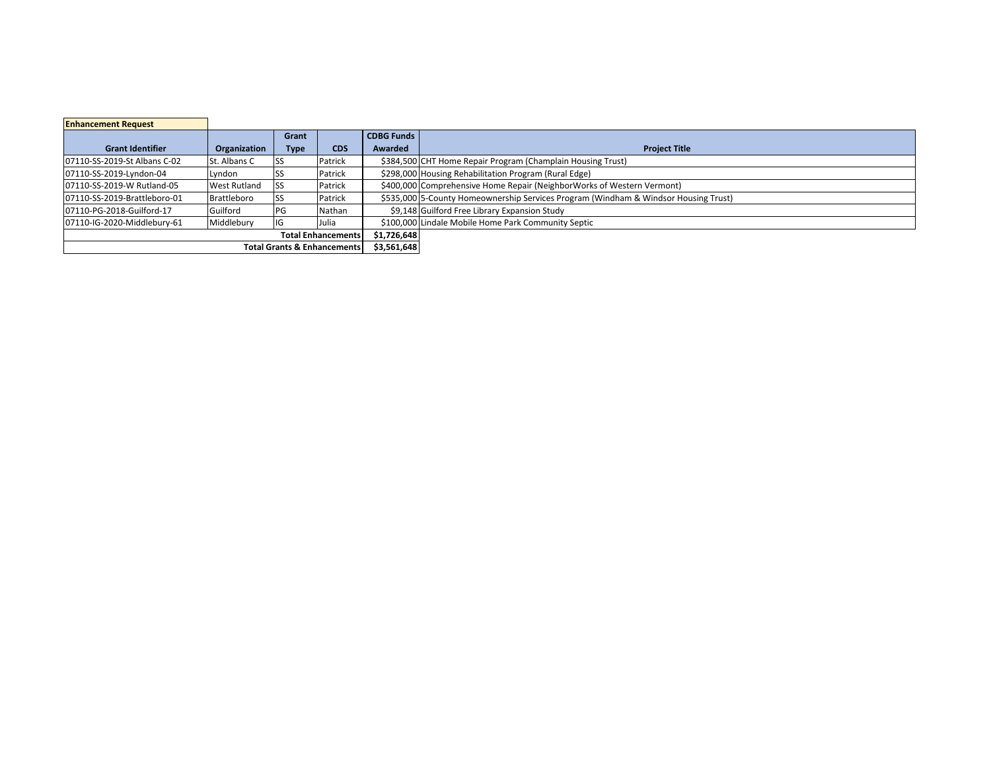| <b>Enhancement Request</b>             |                     |             |            |                   |                                                                                     |  |  |
|----------------------------------------|---------------------|-------------|------------|-------------------|-------------------------------------------------------------------------------------|--|--|
|                                        |                     | Grant       |            | <b>CDBG Funds</b> |                                                                                     |  |  |
| <b>Grant Identifier</b>                | Organization        | <b>Type</b> | <b>CDS</b> | Awarded           | <b>Project Title</b>                                                                |  |  |
| 07110-SS-2019-St Albans C-02           | St. Albans C        |             | Patrick    |                   | \$384,500 CHT Home Repair Program (Champlain Housing Trust)                         |  |  |
| 07110-SS-2019-Lyndon-04                | Lyndon              |             | Patrick    |                   | \$298,000 Housing Rehabilitation Program (Rural Edge)                               |  |  |
| 07110-SS-2019-W Rutland-05             | <b>West Rutland</b> | 'SS         | Patrick    |                   | \$400,000 Comprehensive Home Repair (NeighborWorks of Western Vermont)              |  |  |
| 07110-SS-2019-Brattleboro-01           | Brattleboro         |             | Patrick    |                   | \$535,000 5-County Homeownership Services Program (Windham & Windsor Housing Trust) |  |  |
| 07110-PG-2018-Guilford-17              | Guilford            | <b>IPG</b>  | Nathan     |                   | \$9,148 Guilford Free Library Expansion Study                                       |  |  |
| 07110-IG-2020-Middlebury-61            | Middlebury          |             | Julia      |                   | \$100,000 Lindale Mobile Home Park Community Septic                                 |  |  |
| <b>Total Enhancements</b>              |                     |             |            | \$1,726,648       |                                                                                     |  |  |
| <b>Total Grants &amp; Enhancements</b> |                     |             |            | \$3,561,648       |                                                                                     |  |  |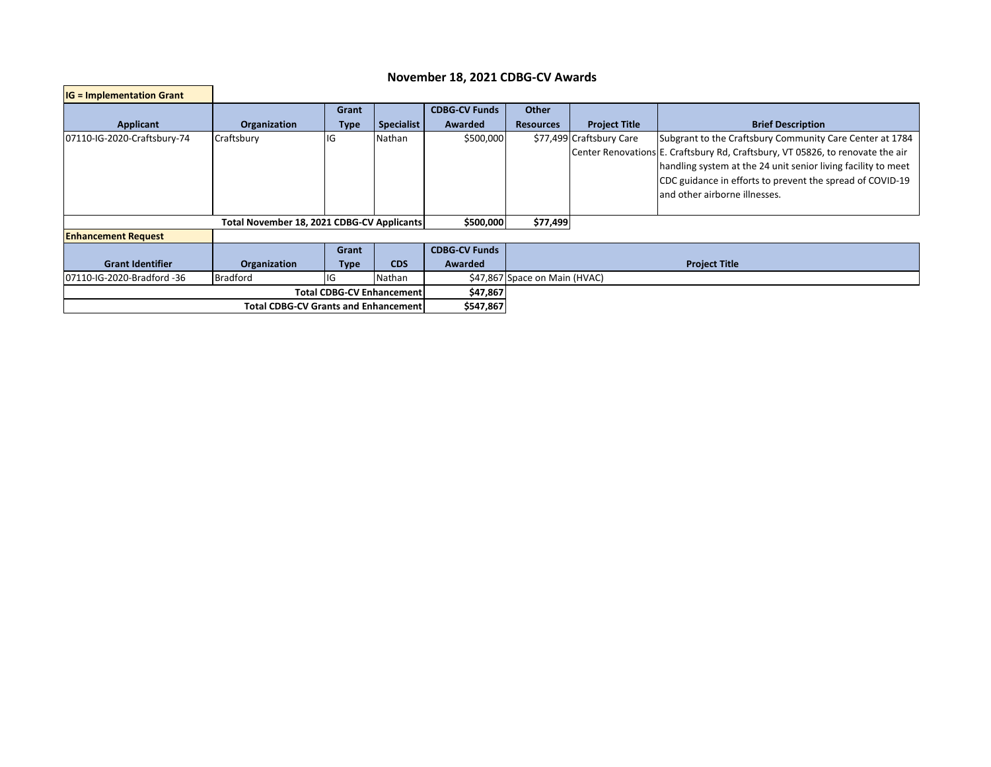## **November 18, 2021 CDBG-CV Awards**

г

| $IG = Implementation Grant$                |                                                                                     |             |                   |                      |                               |                          |                                                                                |  |  |
|--------------------------------------------|-------------------------------------------------------------------------------------|-------------|-------------------|----------------------|-------------------------------|--------------------------|--------------------------------------------------------------------------------|--|--|
|                                            |                                                                                     | Grant       |                   | <b>CDBG-CV Funds</b> | <b>Other</b>                  |                          |                                                                                |  |  |
| <b>Applicant</b>                           | Organization                                                                        | <b>Type</b> | <b>Specialist</b> | <b>Awarded</b>       | <b>Resources</b>              | <b>Project Title</b>     | <b>Brief Description</b>                                                       |  |  |
| 07110-IG-2020-Craftsbury-74                | Craftsbury                                                                          | llG         | Nathan            | \$500,000            |                               | \$77,499 Craftsbury Care | Subgrant to the Craftsbury Community Care Center at 1784                       |  |  |
|                                            |                                                                                     |             |                   |                      |                               |                          | Center Renovations E. Craftsbury Rd, Craftsbury, VT 05826, to renovate the air |  |  |
|                                            |                                                                                     |             |                   |                      |                               |                          | handling system at the 24 unit senior living facility to meet                  |  |  |
|                                            |                                                                                     |             |                   |                      |                               |                          | CDC guidance in efforts to prevent the spread of COVID-19                      |  |  |
|                                            |                                                                                     |             |                   |                      |                               |                          | and other airborne illnesses.                                                  |  |  |
|                                            |                                                                                     |             |                   |                      |                               |                          |                                                                                |  |  |
| Total November 18, 2021 CDBG-CV Applicants |                                                                                     |             |                   |                      | \$77,499<br>\$500,000         |                          |                                                                                |  |  |
| <b>Enhancement Request</b>                 |                                                                                     |             |                   |                      |                               |                          |                                                                                |  |  |
|                                            |                                                                                     | Grant       |                   | <b>CDBG-CV Funds</b> |                               |                          |                                                                                |  |  |
| <b>Grant Identifier</b>                    | <b>CDS</b><br><b>Awarded</b><br><b>Project Title</b><br>Organization<br><b>Type</b> |             |                   |                      |                               |                          |                                                                                |  |  |
| l07110-IG-2020-Bradford -36                | <b>Bradford</b>                                                                     | IG          | Nathan            |                      | \$47,867 Space on Main (HVAC) |                          |                                                                                |  |  |
|                                            | <b>Total CDBG-CV Enhancement</b>                                                    | \$47,867    |                   |                      |                               |                          |                                                                                |  |  |
|                                            | <b>Total CDBG-CV Grants and Enhancement</b>                                         | \$547,867   |                   |                      |                               |                          |                                                                                |  |  |